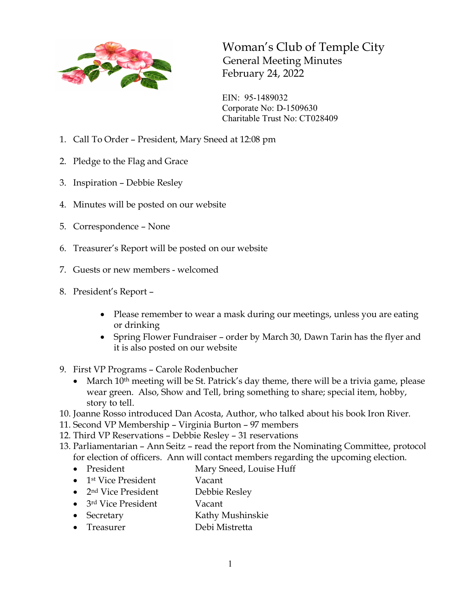

Woman's Club of Temple City General Meeting Minutes February 24, 2022

EIN: 95-1489032 Corporate No: D-1509630 Charitable Trust No: CT028409

- 1. Call To Order President, Mary Sneed at 12:08 pm
- 2. Pledge to the Flag and Grace
- 3. Inspiration Debbie Resley
- 4. Minutes will be posted on our website
- 5. Correspondence None
- 6. Treasurer's Report will be posted on our website
- 7. Guests or new members welcomed
- 8. President's Report
	- Please remember to wear a mask during our meetings, unless you are eating or drinking
	- Spring Flower Fundraiser order by March 30, Dawn Tarin has the flyer and it is also posted on our website
- 9. First VP Programs Carole Rodenbucher
	- March  $10^{th}$  meeting will be St. Patrick's day theme, there will be a trivia game, please wear green. Also, Show and Tell, bring something to share; special item, hobby, story to tell.
- 10. Joanne Rosso introduced Dan Acosta, Author, who talked about his book Iron River.
- 11. Second VP Membership Virginia Burton 97 members
- 12. Third VP Reservations Debbie Resley 31 reservations
- 13. Parliamentarian Ann Seitz read the report from the Nominating Committee, protocol for election of officers. Ann will contact members regarding the upcoming election.
	- President Mary Sneed, Louise Huff
	- 1<sup>st</sup> Vice President Vacant
	- 2<sup>nd</sup> Vice President Debbie Resley
	- 3<sup>rd</sup> Vice President Vacant
	- Secretary Kathy Mushinskie
	- Treasurer Debi Mistretta